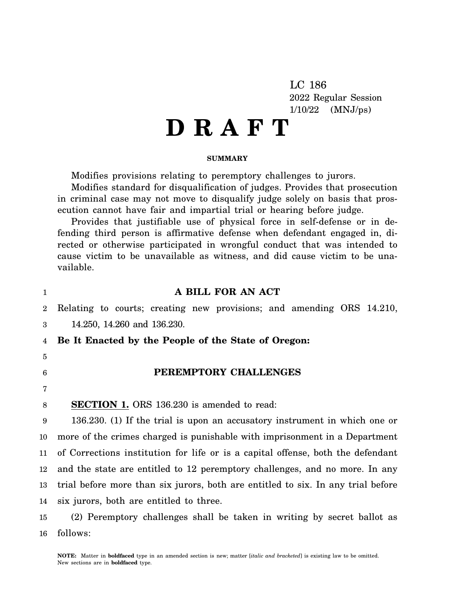LC 186 2022 Regular Session 1/10/22 (MNJ/ps)

# **D R A F T**

#### **SUMMARY**

Modifies provisions relating to peremptory challenges to jurors.

Modifies standard for disqualification of judges. Provides that prosecution in criminal case may not move to disqualify judge solely on basis that prosecution cannot have fair and impartial trial or hearing before judge.

Provides that justifiable use of physical force in self-defense or in defending third person is affirmative defense when defendant engaged in, directed or otherwise participated in wrongful conduct that was intended to cause victim to be unavailable as witness, and did cause victim to be unavailable.

BOD **ANT ACT** 

| $\mathbf{1}$   | A BILL FOR AN ACT                                                                |
|----------------|----------------------------------------------------------------------------------|
| $\overline{2}$ | Relating to courts; creating new provisions; and amending ORS 14.210,            |
| 3              | 14.250, 14.260 and 136.230.                                                      |
| 4              | Be It Enacted by the People of the State of Oregon:                              |
| 5              |                                                                                  |
| 6              | PEREMPTORY CHALLENGES                                                            |
| 7              |                                                                                  |
| 8              | <b>SECTION 1.</b> ORS 136.230 is amended to read:                                |
| 9              | 136.230. (1) If the trial is upon an accusatory instrument in which one or       |
| 10             | more of the crimes charged is punishable with imprisonment in a Department       |
| $11\,$         | of Corrections institution for life or is a capital offense, both the defendant  |
| 12             | and the state are entitled to 12 peremptory challenges, and no more. In any      |
| 13             | trial before more than six jurors, both are entitled to six. In any trial before |
| 14             | six jurors, both are entitled to three.                                          |
| 15             | (2) Peremptory challenges shall be taken in writing by secret ballot as          |
| 16             | follows:                                                                         |

**NOTE:** Matter in **boldfaced** type in an amended section is new; matter [*italic and bracketed*] is existing law to be omitted. New sections are in **boldfaced** type.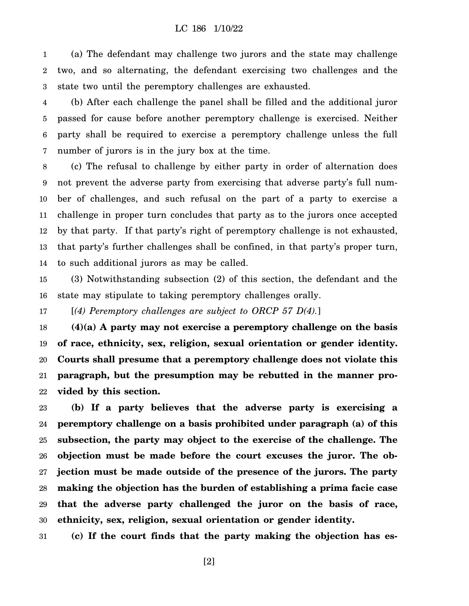#### LC 186 1/10/22

1 2 3 (a) The defendant may challenge two jurors and the state may challenge two, and so alternating, the defendant exercising two challenges and the state two until the peremptory challenges are exhausted.

4 5 6 7 (b) After each challenge the panel shall be filled and the additional juror passed for cause before another peremptory challenge is exercised. Neither party shall be required to exercise a peremptory challenge unless the full number of jurors is in the jury box at the time.

8 9 10 11 12 13 14 (c) The refusal to challenge by either party in order of alternation does not prevent the adverse party from exercising that adverse party's full number of challenges, and such refusal on the part of a party to exercise a challenge in proper turn concludes that party as to the jurors once accepted by that party. If that party's right of peremptory challenge is not exhausted, that party's further challenges shall be confined, in that party's proper turn, to such additional jurors as may be called.

15 16 (3) Notwithstanding subsection (2) of this section, the defendant and the state may stipulate to taking peremptory challenges orally.

17 [*(4) Peremptory challenges are subject to ORCP 57 D(4).*]

18 19 20 21 22 **(4)(a) A party may not exercise a peremptory challenge on the basis of race, ethnicity, sex, religion, sexual orientation or gender identity. Courts shall presume that a peremptory challenge does not violate this paragraph, but the presumption may be rebutted in the manner provided by this section.**

23 24 25 26 27 28 29 30 **(b) If a party believes that the adverse party is exercising a peremptory challenge on a basis prohibited under paragraph (a) of this subsection, the party may object to the exercise of the challenge. The objection must be made before the court excuses the juror. The objection must be made outside of the presence of the jurors. The party making the objection has the burden of establishing a prima facie case that the adverse party challenged the juror on the basis of race, ethnicity, sex, religion, sexual orientation or gender identity.**

31 **(c) If the court finds that the party making the objection has es-**

[2]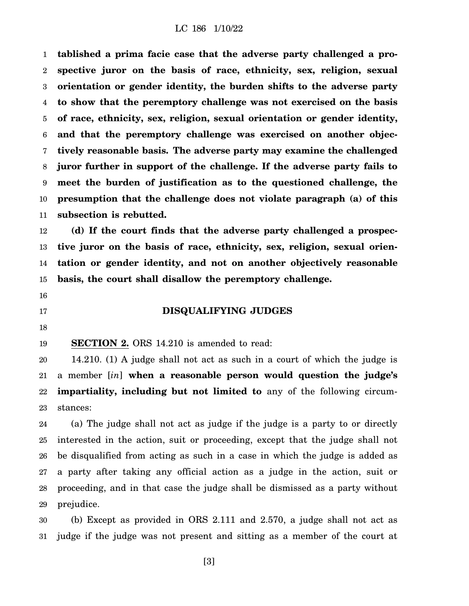1 2 3 4 5 6 7 8 9 10 11 **tablished a prima facie case that the adverse party challenged a prospective juror on the basis of race, ethnicity, sex, religion, sexual orientation or gender identity, the burden shifts to the adverse party to show that the peremptory challenge was not exercised on the basis of race, ethnicity, sex, religion, sexual orientation or gender identity, and that the peremptory challenge was exercised on another objectively reasonable basis. The adverse party may examine the challenged juror further in support of the challenge. If the adverse party fails to meet the burden of justification as to the questioned challenge, the presumption that the challenge does not violate paragraph (a) of this subsection is rebutted.**

12 13 14 15 **(d) If the court finds that the adverse party challenged a prospective juror on the basis of race, ethnicity, sex, religion, sexual orientation or gender identity, and not on another objectively reasonable basis, the court shall disallow the peremptory challenge.**

16

17

#### **DISQUALIFYING JUDGES**

18

19 **SECTION 2.** ORS 14.210 is amended to read:

20 21 22 23 14.210. (1) A judge shall not act as such in a court of which the judge is a member [*in*] **when a reasonable person would question the judge's impartiality, including but not limited to** any of the following circumstances:

24 25 26 27 28 29 (a) The judge shall not act as judge if the judge is a party to or directly interested in the action, suit or proceeding, except that the judge shall not be disqualified from acting as such in a case in which the judge is added as a party after taking any official action as a judge in the action, suit or proceeding, and in that case the judge shall be dismissed as a party without prejudice.

30 31 (b) Except as provided in ORS 2.111 and 2.570, a judge shall not act as judge if the judge was not present and sitting as a member of the court at

[3]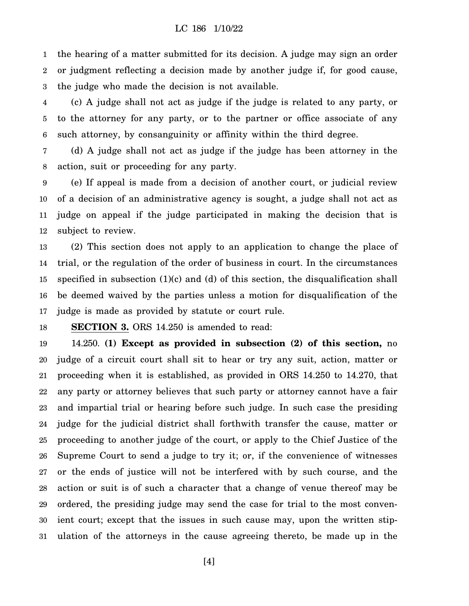#### LC 186 1/10/22

1 2 3 the hearing of a matter submitted for its decision. A judge may sign an order or judgment reflecting a decision made by another judge if, for good cause, the judge who made the decision is not available.

4 5 6 (c) A judge shall not act as judge if the judge is related to any party, or to the attorney for any party, or to the partner or office associate of any such attorney, by consanguinity or affinity within the third degree.

7 8 (d) A judge shall not act as judge if the judge has been attorney in the action, suit or proceeding for any party.

9 10 11 12 (e) If appeal is made from a decision of another court, or judicial review of a decision of an administrative agency is sought, a judge shall not act as judge on appeal if the judge participated in making the decision that is subject to review.

13 14 15 16 17 (2) This section does not apply to an application to change the place of trial, or the regulation of the order of business in court. In the circumstances specified in subsection (1)(c) and (d) of this section, the disqualification shall be deemed waived by the parties unless a motion for disqualification of the judge is made as provided by statute or court rule.

18 **SECTION 3.** ORS 14.250 is amended to read:

19 20 21 22 23 24 25 26 27 28 29 30 31 14.250. **(1) Except as provided in subsection (2) of this section,** no judge of a circuit court shall sit to hear or try any suit, action, matter or proceeding when it is established, as provided in ORS 14.250 to 14.270, that any party or attorney believes that such party or attorney cannot have a fair and impartial trial or hearing before such judge. In such case the presiding judge for the judicial district shall forthwith transfer the cause, matter or proceeding to another judge of the court, or apply to the Chief Justice of the Supreme Court to send a judge to try it; or, if the convenience of witnesses or the ends of justice will not be interfered with by such course, and the action or suit is of such a character that a change of venue thereof may be ordered, the presiding judge may send the case for trial to the most convenient court; except that the issues in such cause may, upon the written stipulation of the attorneys in the cause agreeing thereto, be made up in the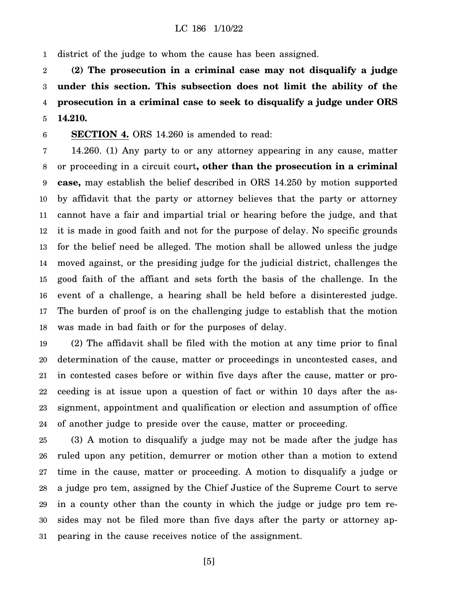1 district of the judge to whom the cause has been assigned.

2 3 4 5 **(2) The prosecution in a criminal case may not disqualify a judge under this section. This subsection does not limit the ability of the prosecution in a criminal case to seek to disqualify a judge under ORS 14.210.**

6 **SECTION 4.** ORS 14.260 is amended to read:

7 8 9 10 11 12 13 14 15 16 17 18 14.260. (1) Any party to or any attorney appearing in any cause, matter or proceeding in a circuit court**, other than the prosecution in a criminal case,** may establish the belief described in ORS 14.250 by motion supported by affidavit that the party or attorney believes that the party or attorney cannot have a fair and impartial trial or hearing before the judge, and that it is made in good faith and not for the purpose of delay. No specific grounds for the belief need be alleged. The motion shall be allowed unless the judge moved against, or the presiding judge for the judicial district, challenges the good faith of the affiant and sets forth the basis of the challenge. In the event of a challenge, a hearing shall be held before a disinterested judge. The burden of proof is on the challenging judge to establish that the motion was made in bad faith or for the purposes of delay.

19 20 21 22 23 24 (2) The affidavit shall be filed with the motion at any time prior to final determination of the cause, matter or proceedings in uncontested cases, and in contested cases before or within five days after the cause, matter or proceeding is at issue upon a question of fact or within 10 days after the assignment, appointment and qualification or election and assumption of office of another judge to preside over the cause, matter or proceeding.

25 26 27 28 29 30 31 (3) A motion to disqualify a judge may not be made after the judge has ruled upon any petition, demurrer or motion other than a motion to extend time in the cause, matter or proceeding. A motion to disqualify a judge or a judge pro tem, assigned by the Chief Justice of the Supreme Court to serve in a county other than the county in which the judge or judge pro tem resides may not be filed more than five days after the party or attorney appearing in the cause receives notice of the assignment.

[5]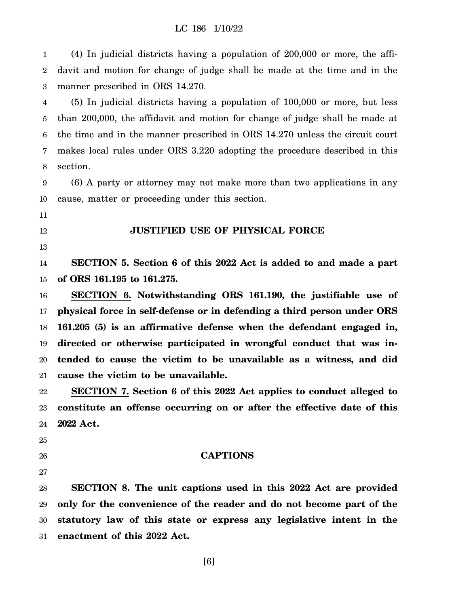1 2 3 (4) In judicial districts having a population of 200,000 or more, the affidavit and motion for change of judge shall be made at the time and in the manner prescribed in ORS 14.270.

4 5 6 7 8 (5) In judicial districts having a population of 100,000 or more, but less than 200,000, the affidavit and motion for change of judge shall be made at the time and in the manner prescribed in ORS 14.270 unless the circuit court makes local rules under ORS 3.220 adopting the procedure described in this section.

9 10 (6) A party or attorney may not make more than two applications in any cause, matter or proceeding under this section.

11

12

13

### **JUSTIFIED USE OF PHYSICAL FORCE**

14 15 **SECTION 5. Section 6 of this 2022 Act is added to and made a part of ORS 161.195 to 161.275.**

16 17 18 19 20 21 **SECTION 6. Notwithstanding ORS 161.190, the justifiable use of physical force in self-defense or in defending a third person under ORS 161.205 (5) is an affirmative defense when the defendant engaged in, directed or otherwise participated in wrongful conduct that was intended to cause the victim to be unavailable as a witness, and did cause the victim to be unavailable.**

22 23 24 **SECTION 7. Section 6 of this 2022 Act applies to conduct alleged to constitute an offense occurring on or after the effective date of this 2022 Act.**

25

- 26
- 27

#### **CAPTIONS**

28 29 30 31 **SECTION 8. The unit captions used in this 2022 Act are provided only for the convenience of the reader and do not become part of the statutory law of this state or express any legislative intent in the enactment of this 2022 Act.**

[6]